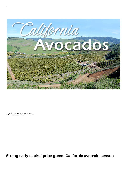

**- Advertisement -**

**Strong early market price greets California avocado season**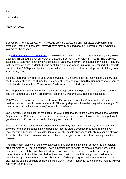Tim Linden

March 24, 2022

Buoyed by a hot market, California avocado growers started picking their 2022 crop earlier than expected. By the end of March, they will have already shipped about 20 percent of their expected volume for the season.

The [California Avocado Commission](https://www.californiaavocadogrowers.com/)'s pre-season estimate for the 2022 season was slightly greater than 300 million pounds, which represents about 15 percent more fruit than in 2021. The crop was expected to start with relatively few shipments in January, a few million pounds per week in February with steady increases in March, but no peak-type shipping weeks until April. Veteran industry experts predicted that 70-80 percent of the crop would be marketed in the four-month period stretching from April through July.

Instead, more than 5 million pounds were harvested in California both the last week of January and the first week of February. During the last week of February, more than 8 million pounds were sent to market and in the month of March, about 7 million were harvested each week.

With 20 percent of the fruit already off the trees, it appears that the peak is going to come a bit earlier and that summer volume will probably be lighter, on a weekly basis, than first anticipated.

Rob Wedin, executive vice president of Calavo Growers Inc., based in Santa Paula, CA, said the peak of the season could come in late April. "The early shipments have definitely taken the edge off the marketing situation for summer," he said in mid-March.

Jan DeLyser, vice president of marketing for CAC, noted that there are always growers that wait until September and October to pick their trees as a strategic move designed to capitalize on a potentially good market as California runs out of locally grown avocados.

With regard to the market, Wedin added that it could very well be an excellent year for California growers for the entire season. He did point out that the state's avocado producing regions have received virtually no rain in this calendar year, which impacts growers negatively in a couple of ways. In the first place, lack of rain means extra reliance on irrigation water, which means significantly greater costs.

The lack of rain, along with the early harvesting, may also make it difficult to reach the pre-season crop estimate of 306 million pounds. There is nothing like rainwater to create a healthy grove and increase the size of the fruit. Avocados tend to increase in size as it is left on the tree. Early harvesting takes fruit off the trees before they reach their full size. Ultimately, that could reduce overall tonnage. Of course, that's not a bad trade-off when getting top dollar for the fruit. Wedin did say that the volume estimate still looked like it was on target, though a couple of more months without rain might change that.

By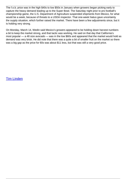The f.o.b. price was in the high \$40s to low \$50s in January when growers began picking early to capture the heavy demand leading up to the Super Bowl. The Saturday night prior to pro football's championship game, the U.S. Department of Agriculture suspended shipments from Mexico, for what would be a week, because of threats to a USDA inspector. That one-week hiatus gave uncertainty the supply situation, which further raised the market. There have been a few adjustments since, but it is holding very strong.

On Monday, March 14, Wedin said Mexico's growers appeared to be holding down harvest numbers a bit to keep the market strong, and that tactic was working. He said on that day that California's most popular — a 48 size avocado — was in the low \$60s and appeared that the market would hold as demand was very brisk. He did note that there was a quite a bit of smaller fruit on the market so there was a big gap as the price for 60s was about \$11 less, but that was still a very good price.

[Tim Linden](/taxonomy/term/461)